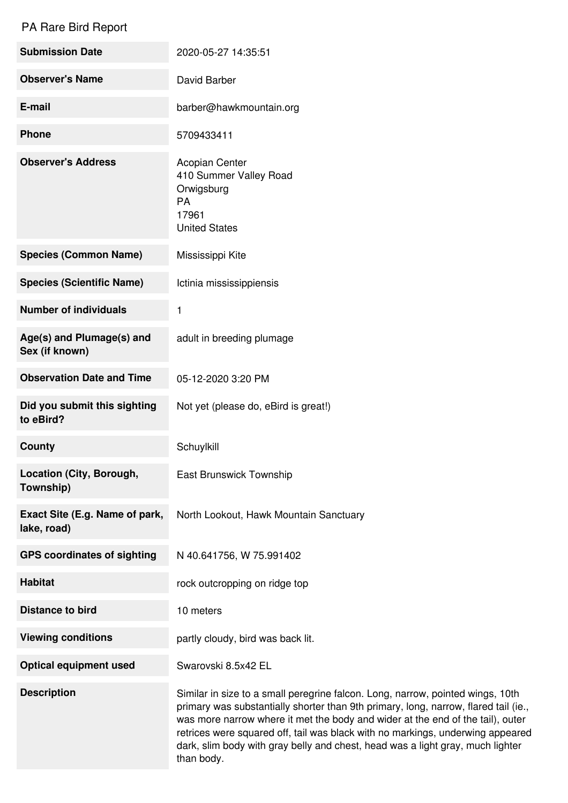## PA Rare Bird Report

| <b>Submission Date</b>                        | 2020-05-27 14:35:51                                                                                                                                                                                                                                                                                                                                                                                                         |
|-----------------------------------------------|-----------------------------------------------------------------------------------------------------------------------------------------------------------------------------------------------------------------------------------------------------------------------------------------------------------------------------------------------------------------------------------------------------------------------------|
| <b>Observer's Name</b>                        | David Barber                                                                                                                                                                                                                                                                                                                                                                                                                |
| E-mail                                        | barber@hawkmountain.org                                                                                                                                                                                                                                                                                                                                                                                                     |
| <b>Phone</b>                                  | 5709433411                                                                                                                                                                                                                                                                                                                                                                                                                  |
| <b>Observer's Address</b>                     | <b>Acopian Center</b><br>410 Summer Valley Road<br>Orwigsburg<br>PA<br>17961<br><b>United States</b>                                                                                                                                                                                                                                                                                                                        |
| <b>Species (Common Name)</b>                  | Mississippi Kite                                                                                                                                                                                                                                                                                                                                                                                                            |
| <b>Species (Scientific Name)</b>              | Ictinia mississippiensis                                                                                                                                                                                                                                                                                                                                                                                                    |
| <b>Number of individuals</b>                  | 1                                                                                                                                                                                                                                                                                                                                                                                                                           |
| Age(s) and Plumage(s) and<br>Sex (if known)   | adult in breeding plumage                                                                                                                                                                                                                                                                                                                                                                                                   |
| <b>Observation Date and Time</b>              | 05-12-2020 3:20 PM                                                                                                                                                                                                                                                                                                                                                                                                          |
| Did you submit this sighting<br>to eBird?     | Not yet (please do, eBird is great!)                                                                                                                                                                                                                                                                                                                                                                                        |
| <b>County</b>                                 | Schuylkill                                                                                                                                                                                                                                                                                                                                                                                                                  |
| Location (City, Borough,<br>Township)         | <b>East Brunswick Township</b>                                                                                                                                                                                                                                                                                                                                                                                              |
| Exact Site (E.g. Name of park,<br>lake, road) | North Lookout, Hawk Mountain Sanctuary                                                                                                                                                                                                                                                                                                                                                                                      |
| <b>GPS coordinates of sighting</b>            | N 40.641756, W 75.991402                                                                                                                                                                                                                                                                                                                                                                                                    |
| <b>Habitat</b>                                | rock outcropping on ridge top                                                                                                                                                                                                                                                                                                                                                                                               |
| <b>Distance to bird</b>                       | 10 meters                                                                                                                                                                                                                                                                                                                                                                                                                   |
| <b>Viewing conditions</b>                     | partly cloudy, bird was back lit.                                                                                                                                                                                                                                                                                                                                                                                           |
| <b>Optical equipment used</b>                 | Swarovski 8.5x42 EL                                                                                                                                                                                                                                                                                                                                                                                                         |
| <b>Description</b>                            | Similar in size to a small peregrine falcon. Long, narrow, pointed wings, 10th<br>primary was substantially shorter than 9th primary, long, narrow, flared tail (ie.,<br>was more narrow where it met the body and wider at the end of the tail), outer<br>retrices were squared off, tail was black with no markings, underwing appeared<br>dark, slim body with gray belly and chest, head was a light gray, much lighter |

than body.